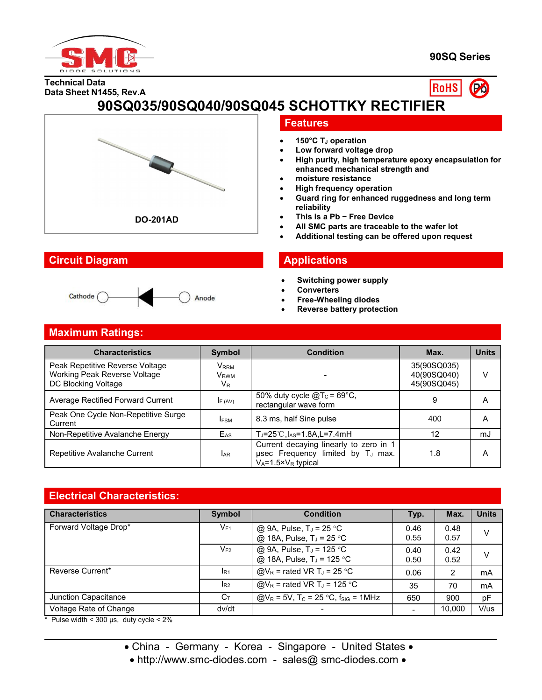

#### **90SQ Series**





# **90SQ035/90SQ040/90SQ045 SCHOTTKY RECTIFIER**



### **Circuit Diagram Applications**

#### Cathode ( Anode

## **Features**

- **150°C T<sup>J</sup> operation**
- **Low forward voltage drop**
- **High purity, high temperature epoxy encapsulation for enhanced mechanical strength and**
- **moisture resistance**
- **High frequency operation**
- **Guard ring for enhanced ruggedness and long term reliability**
- **This is a Pb − Free Device**
- **All SMC parts are traceable to the wafer lot**
- **Additional testing can be offered upon request**

- **Switching power supply**
- **Converters**
- **Free-Wheeling diodes**
- **Reverse battery protection**

#### **Maximum Ratings:**

| <b>Characteristics</b>                                                                        | <b>Symbol</b>                                                 | <b>Condition</b>                                                                                                          | Max.                                      | <b>Units</b> |
|-----------------------------------------------------------------------------------------------|---------------------------------------------------------------|---------------------------------------------------------------------------------------------------------------------------|-------------------------------------------|--------------|
| Peak Repetitive Reverse Voltage<br><b>Working Peak Reverse Voltage</b><br>DC Blocking Voltage | <b>V</b> <sub>RRM</sub><br><b>V</b> <sub>RWM</sub><br>$V_{R}$ |                                                                                                                           | 35(90SQ035)<br>40(90SQ040)<br>45(90SQ045) | v            |
| Average Rectified Forward Current                                                             | $I_{F(AV)}$                                                   | 50% duty cycle $@T_c = 69^{\circ}C$ ,<br>rectangular wave form                                                            | 9                                         | А            |
| Peak One Cycle Non-Repetitive Surge<br>Current                                                | <b>IFSM</b>                                                   | 8.3 ms, half Sine pulse                                                                                                   | 400                                       | Α            |
| Non-Repetitive Avalanche Energy                                                               | E <sub>AS</sub>                                               | $T_J = 25^{\circ}$ C, $I_{AS} = 1.8$ A, L=7.4mH                                                                           | 12                                        | mJ           |
| Repetitive Avalanche Current                                                                  | <b>JAR</b>                                                    | Current decaying linearly to zero in 1<br>usec Frequency limited by T <sub>J</sub> max.<br>$V_A = 1.5 \times V_R$ typical | 1.8                                       | Α            |

## **Electrical Characteristics:**

| <b>Characteristics</b> | <b>Symbol</b>  | <b>Condition</b>                                                     | Typ.         | Max.           | <b>Units</b> |
|------------------------|----------------|----------------------------------------------------------------------|--------------|----------------|--------------|
| Forward Voltage Drop*  | $V_{F1}$       | @ 9A, Pulse, $T_J = 25$ °C<br>@ 18A, Pulse, T <sub>J</sub> = 25 °C   | 0.46<br>0.55 | 0.48<br>0.57   | V            |
|                        | $V_{F2}$       | @ 9A, Pulse, $T_J = 125$ °C<br>@ 18A, Pulse, T <sub>J</sub> = 125 °C | 0.40<br>0.50 | 0.42<br>0.52   | V            |
| Reverse Current*       | $I_{R1}$       | $@V_R$ = rated VR T <sub>J</sub> = 25 °C                             | 0.06         | $\overline{2}$ | mA           |
|                        | R <sub>2</sub> | $@V_R$ = rated VR T <sub>J</sub> = 125 °C                            | 35           | 70             | mA           |
| Junction Capacitance   | $C_{\text{T}}$ | $Q/V_R = 5V$ , T <sub>C</sub> = 25 °C, f <sub>SIG</sub> = 1MHz       | 650          | 900            | pF           |
| Voltage Rate of Change | dv/dt          |                                                                      |              | 10.000         | V/us         |

 $*$  Pulse width < 300 µs, duty cycle < 2%

- China Germany Korea Singapore United States •
- http://www.smc-diodes.com sales@ smc-diodes.com •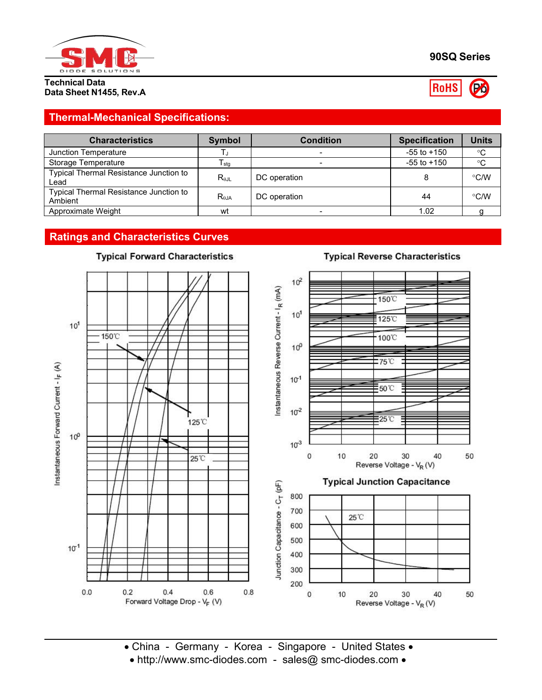

**Data Sheet N1455, Rev.A**

#### **90SQ Series**

**RoHS** Po

**Thermal-Mechanical Specifications:**

| <b>Characteristics</b>                            | Symbol         | <b>Condition</b> | <b>Specification</b> | Units         |
|---------------------------------------------------|----------------|------------------|----------------------|---------------|
| Junction Temperature                              |                |                  | $-55$ to $+150$      | $^{\circ}C$   |
| Storage Temperature                               | I stg          |                  | $-55$ to $+150$      | $^{\circ}C$   |
| Typical Thermal Resistance Junction to<br>Lead    | $R_{\theta$ JL | DC operation     |                      | $\degree$ C/W |
| Typical Thermal Resistance Junction to<br>Ambient | $R_{0,IA}$     | DC operation     | 44                   | $\degree$ C/W |
| Approximate Weight                                | wt             |                  | 1.02                 |               |

# **Ratings and Characteristics Curves**



# **Typical Forward Characteristics**

• China - Germany - Korea - Singapore - United States • • http://www.smc-diodes.com - sales@ smc-diodes.com •

# **Typical Reverse Characteristics**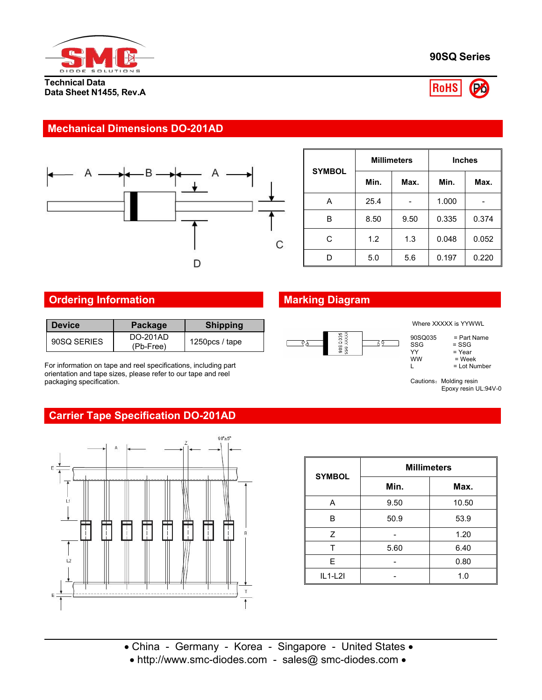

**Technical Data Data Sheet N1455, Rev.A**



#### **Mechanical Dimensions DO-201AD**



| <b>SYMBOL</b> |      |      | <b>Millimeters</b> |       | <b>Inches</b> |  |
|---------------|------|------|--------------------|-------|---------------|--|
|               | Min. |      | Max.               | Min.  | Max.          |  |
| A             |      | 25.4 |                    | 1.000 |               |  |
| B             |      | 8.50 | 9.50               | 0.335 | 0.374         |  |
| C             |      | 1.2  | 1.3                | 0.048 | 0.052         |  |
| D             |      | 5.0  | 5.6                | 0.197 | 0.220         |  |

#### **Ordering Information Marking Diagram**

| <b>Device</b> | <b>Package</b>               | <b>Shipping</b>   |                                    |
|---------------|------------------------------|-------------------|------------------------------------|
| 90SQ SERIES   | <b>DO-201AD</b><br>(Pb-Free) | 1250 $pcs /$ tape | 035<br>$\sigma$ :<br>$\frac{8}{9}$ |

For information on tape and reel specifications, including part orientation and tape sizes, please refer to our tape and reel packaging specification.



|--|

| 90SQ035   | = Part Name    |  |
|-----------|----------------|--|
| SSG       | $=$ SSG        |  |
| YY        | = Year         |  |
| <b>WW</b> | = Week         |  |
|           | $=$ Lot Number |  |

Cautions: Molding resin Epoxy resin UL:94V-0

## **Carrier Tape Specification DO-201AD**



| <b>SYMBOL</b> | <b>Millimeters</b> |       |  |  |
|---------------|--------------------|-------|--|--|
|               | Min.               | Max.  |  |  |
| A             | 9.50               | 10.50 |  |  |
| B             | 50.9               | 53.9  |  |  |
| Z             |                    | 1.20  |  |  |
|               | 5.60               | 6.40  |  |  |
| E.            |                    | 0.80  |  |  |
| $IL1-L2I$     |                    | 1.0   |  |  |